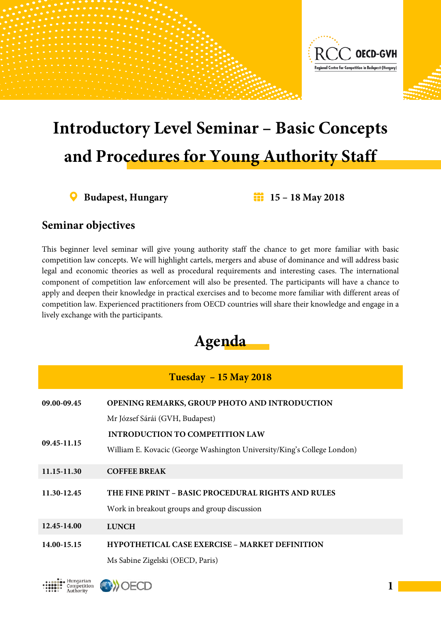

## **Introductory Level Seminar – Basic Concepts and Procedures for Young Authority Staff**

**Budapest, Hungary 15 – 18 May 2018**

## **Seminar objectives**

Hungarian Competition<br>Authority

**DOECD** 

This beginner level seminar will give young authority staff the chance to get more familiar with basic competition law concepts. We will highlight cartels, mergers and abuse of dominance and will address basic legal and economic theories as well as procedural requirements and interesting cases. The international component of competition law enforcement will also be presented. The participants will have a chance to apply and deepen their knowledge in practical exercises and to become more familiar with different areas of competition law. Experienced practitioners from OECD countries will share their knowledge and engage in a lively exchange with the participants.



| $Tuesday - 15 May 2018$ |                                                                                                    |  |
|-------------------------|----------------------------------------------------------------------------------------------------|--|
| 09.00-09.45             | <b>OPENING REMARKS, GROUP PHOTO AND INTRODUCTION</b>                                               |  |
|                         | Mr József Sárái (GVH, Budapest)                                                                    |  |
| 09.45-11.15             | <b>INTRODUCTION TO COMPETITION LAW</b>                                                             |  |
|                         | William E. Kovacic (George Washington University/King's College London)                            |  |
| 11.15-11.30             | <b>COFFEE BREAK</b>                                                                                |  |
| 11.30-12.45             | THE FINE PRINT – BASIC PROCEDURAL RIGHTS AND RULES<br>Work in breakout groups and group discussion |  |
| 12.45-14.00             | <b>LUNCH</b>                                                                                       |  |
| 14.00-15.15             | HYPOTHETICAL CASE EXERCISE - MARKET DEFINITION<br>Ms Sabine Zigelski (OECD, Paris)                 |  |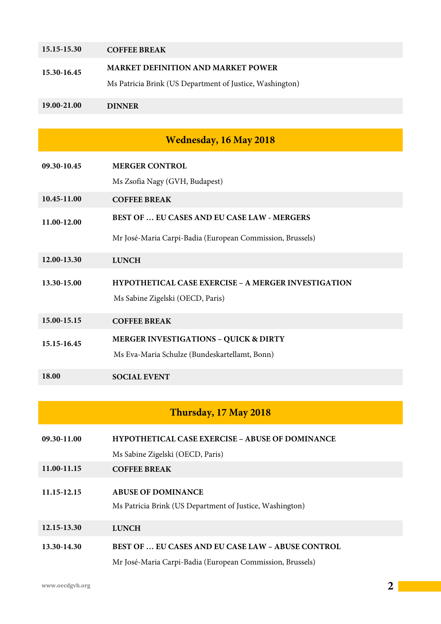| 15.15-15.30 | <b>COFFEE BREAK</b>                                        |
|-------------|------------------------------------------------------------|
| 15.30-16.45 | <b>MARKET DEFINITION AND MARKET POWER</b>                  |
|             | Ms Patricia Brink (US Department of Justice, Washington)   |
| 19.00-21.00 | <b>DINNER</b>                                              |
|             |                                                            |
|             | <b>Wednesday, 16 May 2018</b>                              |
| 09.30-10.45 | <b>MERGER CONTROL</b>                                      |
|             | Ms Zsofia Nagy (GVH, Budapest)                             |
| 10.45-11.00 | <b>COFFEE BREAK</b>                                        |
| 11.00-12.00 | <b>BEST OF  EU CASES AND EU CASE LAW - MERGERS</b>         |
|             | Mr José-Maria Carpi-Badia (European Commission, Brussels)  |
| 12.00-13.30 | <b>LUNCH</b>                                               |
| 13.30-15.00 | <b>HYPOTHETICAL CASE EXERCISE - A MERGER INVESTIGATION</b> |
|             | Ms Sabine Zigelski (OECD, Paris)                           |
| 15.00-15.15 | <b>COFFEE BREAK</b>                                        |
| 15.15-16.45 | <b>MERGER INVESTIGATIONS - QUICK &amp; DIRTY</b>           |
|             | Ms Eva-Maria Schulze (Bundeskartellamt, Bonn)              |
| 18.00       | <b>SOCIAL EVENT</b>                                        |

## **Thursday, 17 May 2018**

| 09.30-11.00 | <b>HYPOTHETICAL CASE EXERCISE – ABUSE OF DOMINANCE</b>    |
|-------------|-----------------------------------------------------------|
|             | Ms Sabine Zigelski (OECD, Paris)                          |
| 11.00-11.15 | <b>COFFEE BREAK</b>                                       |
|             |                                                           |
| 11.15-12.15 | <b>ABUSE OF DOMINANCE</b>                                 |
|             | Ms Patricia Brink (US Department of Justice, Washington)  |
| 12.15-13.30 | <b>LUNCH</b>                                              |
|             |                                                           |
| 13.30-14.30 | <b>BEST OF  EU CASES AND EU CASE LAW – ABUSE CONTROL</b>  |
|             | Mr José-Maria Carpi-Badia (European Commission, Brussels) |